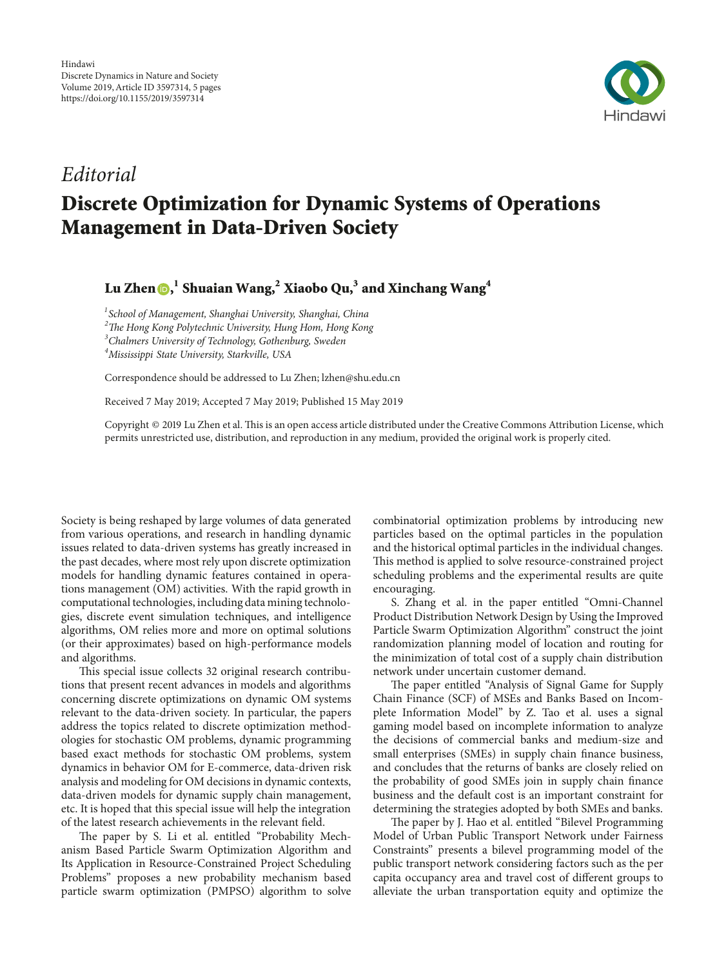

## *Editorial* **Discrete Optimization for Dynamic Systems of Operations Management in Data-Driven Society**

**Lu Zhen [,](http://orcid.org/0000-0003-4855-7273) <sup>1</sup> Shuaian Wang,2 Xiaobo Qu,3 and Xinchang Wang<sup>4</sup>**

 *School of Management, Shanghai University, Shanghai, China* <sup>2</sup>The Hong Kong Polytechnic University, Hung Hom, Hong Kong *Chalmers University of Technology, Gothenburg, Sweden Mississippi State University, Starkville, USA*

Correspondence should be addressed to Lu Zhen; lzhen@shu.edu.cn

Received 7 May 2019; Accepted 7 May 2019; Published 15 May 2019

Copyright © 2019 Lu Zhen et al. This is an open access article distributed under the [Creative Commons Attribution License](https://creativecommons.org/licenses/by/4.0/), which permits unrestricted use, distribution, and reproduction in any medium, provided the original work is properly cited.

Society is being reshaped by large volumes of data generated from various operations, and research in handling dynamic issues related to data-driven systems has greatly increased in the past decades, where most rely upon discrete optimization models for handling dynamic features contained in operations management (OM) activities. With the rapid growth in computational technologies, including data mining technologies, discrete event simulation techniques, and intelligence algorithms, OM relies more and more on optimal solutions (or their approximates) based on high-performance models and algorithms.

This special issue collects 32 original research contributions that present recent advances in models and algorithms concerning discrete optimizations on dynamic OM systems relevant to the data-driven society. In particular, the papers address the topics related to discrete optimization methodologies for stochastic OM problems, dynamic programming based exact methods for stochastic OM problems, system dynamics in behavior OM for E-commerce, data-driven risk analysis and modeling for OM decisions in dynamic contexts, data-driven models for dynamic supply chain management, etc. It is hoped that this special issue will help the integration of the latest research achievements in the relevant field.

The paper by S. Li et al. entitled "Probability Mechanism Based Particle Swarm Optimization Algorithm and Its Application in Resource-Constrained Project Scheduling Problems" proposes a new probability mechanism based particle swarm optimization (PMPSO) algorithm to solve combinatorial optimization problems by introducing new particles based on the optimal particles in the population and the historical optimal particles in the individual changes. This method is applied to solve resource-constrained project scheduling problems and the experimental results are quite encouraging.

S. Zhang et al. in the paper entitled "Omni-Channel Product Distribution Network Design by Using the Improved Particle Swarm Optimization Algorithm" construct the joint randomization planning model of location and routing for the minimization of total cost of a supply chain distribution network under uncertain customer demand.

The paper entitled "Analysis of Signal Game for Supply Chain Finance (SCF) of MSEs and Banks Based on Incomplete Information Model" by Z. Tao et al. uses a signal gaming model based on incomplete information to analyze the decisions of commercial banks and medium-size and small enterprises (SMEs) in supply chain finance business, and concludes that the returns of banks are closely relied on the probability of good SMEs join in supply chain finance business and the default cost is an important constraint for determining the strategies adopted by both SMEs and banks.

The paper by J. Hao et al. entitled "Bilevel Programming Model of Urban Public Transport Network under Fairness Constraints" presents a bilevel programming model of the public transport network considering factors such as the per capita occupancy area and travel cost of different groups to alleviate the urban transportation equity and optimize the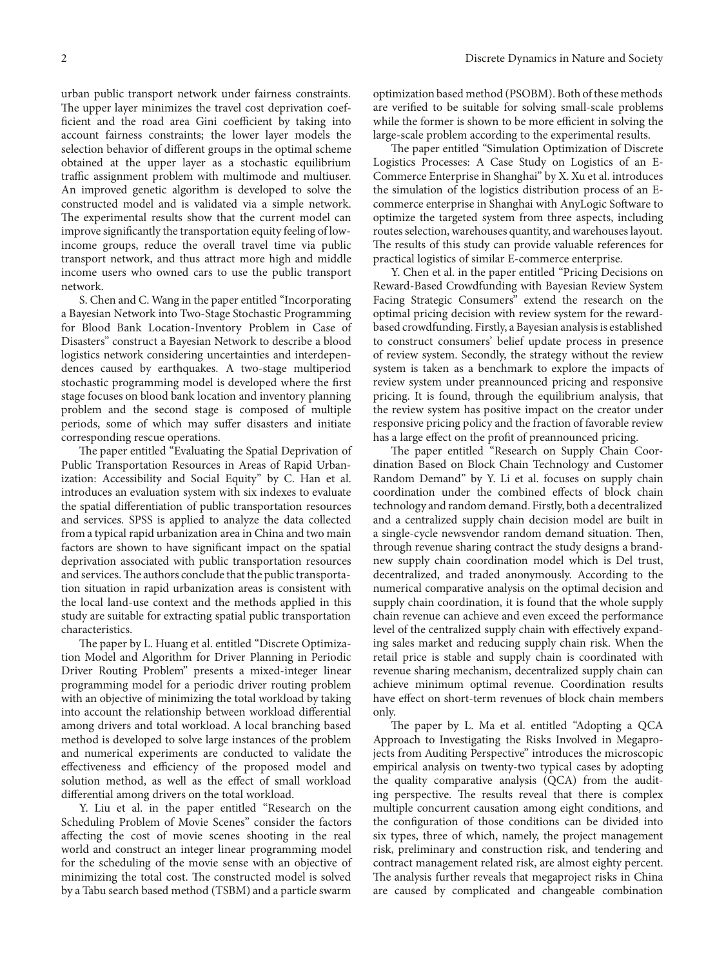urban public transport network under fairness constraints. The upper layer minimizes the travel cost deprivation coefficient and the road area Gini coefficient by taking into account fairness constraints; the lower layer models the selection behavior of different groups in the optimal scheme obtained at the upper layer as a stochastic equilibrium traffic assignment problem with multimode and multiuser. An improved genetic algorithm is developed to solve the constructed model and is validated via a simple network. The experimental results show that the current model can improve significantly the transportation equity feeling of lowincome groups, reduce the overall travel time via public transport network, and thus attract more high and middle income users who owned cars to use the public transport network.

S. Chen and C. Wang in the paper entitled "Incorporating a Bayesian Network into Two-Stage Stochastic Programming for Blood Bank Location-Inventory Problem in Case of Disasters" construct a Bayesian Network to describe a blood logistics network considering uncertainties and interdependences caused by earthquakes. A two-stage multiperiod stochastic programming model is developed where the first stage focuses on blood bank location and inventory planning problem and the second stage is composed of multiple periods, some of which may suffer disasters and initiate corresponding rescue operations.

The paper entitled "Evaluating the Spatial Deprivation of Public Transportation Resources in Areas of Rapid Urbanization: Accessibility and Social Equity" by C. Han et al. introduces an evaluation system with six indexes to evaluate the spatial differentiation of public transportation resources and services. SPSS is applied to analyze the data collected from a typical rapid urbanization area in China and two main factors are shown to have significant impact on the spatial deprivation associated with public transportation resources and services. The authors conclude that the public transportation situation in rapid urbanization areas is consistent with the local land-use context and the methods applied in this study are suitable for extracting spatial public transportation characteristics.

The paper by L. Huang et al. entitled "Discrete Optimization Model and Algorithm for Driver Planning in Periodic Driver Routing Problem" presents a mixed-integer linear programming model for a periodic driver routing problem with an objective of minimizing the total workload by taking into account the relationship between workload differential among drivers and total workload. A local branching based method is developed to solve large instances of the problem and numerical experiments are conducted to validate the effectiveness and efficiency of the proposed model and solution method, as well as the effect of small workload differential among drivers on the total workload.

Y. Liu et al. in the paper entitled "Research on the Scheduling Problem of Movie Scenes" consider the factors affecting the cost of movie scenes shooting in the real world and construct an integer linear programming model for the scheduling of the movie sense with an objective of minimizing the total cost. The constructed model is solved by a Tabu search based method (TSBM) and a particle swarm

optimization based method (PSOBM). Both of these methods are verified to be suitable for solving small-scale problems while the former is shown to be more efficient in solving the large-scale problem according to the experimental results.

The paper entitled "Simulation Optimization of Discrete Logistics Processes: A Case Study on Logistics of an E-Commerce Enterprise in Shanghai" by X. Xu et al. introduces the simulation of the logistics distribution process of an Ecommerce enterprise in Shanghai with AnyLogic Software to optimize the targeted system from three aspects, including routes selection, warehouses quantity, and warehouses layout. The results of this study can provide valuable references for practical logistics of similar E-commerce enterprise.

Y. Chen et al. in the paper entitled "Pricing Decisions on Reward-Based Crowdfunding with Bayesian Review System Facing Strategic Consumers" extend the research on the optimal pricing decision with review system for the rewardbased crowdfunding. Firstly, a Bayesian analysis is established to construct consumers' belief update process in presence of review system. Secondly, the strategy without the review system is taken as a benchmark to explore the impacts of review system under preannounced pricing and responsive pricing. It is found, through the equilibrium analysis, that the review system has positive impact on the creator under responsive pricing policy and the fraction of favorable review has a large effect on the profit of preannounced pricing.

The paper entitled "Research on Supply Chain Coordination Based on Block Chain Technology and Customer Random Demand" by Y. Li et al. focuses on supply chain coordination under the combined effects of block chain technology and random demand. Firstly, both a decentralized and a centralized supply chain decision model are built in a single-cycle newsvendor random demand situation. Then, through revenue sharing contract the study designs a brandnew supply chain coordination model which is Del trust, decentralized, and traded anonymously. According to the numerical comparative analysis on the optimal decision and supply chain coordination, it is found that the whole supply chain revenue can achieve and even exceed the performance level of the centralized supply chain with effectively expanding sales market and reducing supply chain risk. When the retail price is stable and supply chain is coordinated with revenue sharing mechanism, decentralized supply chain can achieve minimum optimal revenue. Coordination results have effect on short-term revenues of block chain members only.

The paper by L. Ma et al. entitled "Adopting a QCA Approach to Investigating the Risks Involved in Megaprojects from Auditing Perspective" introduces the microscopic empirical analysis on twenty-two typical cases by adopting the quality comparative analysis (QCA) from the auditing perspective. The results reveal that there is complex multiple concurrent causation among eight conditions, and the configuration of those conditions can be divided into six types, three of which, namely, the project management risk, preliminary and construction risk, and tendering and contract management related risk, are almost eighty percent. The analysis further reveals that megaproject risks in China are caused by complicated and changeable combination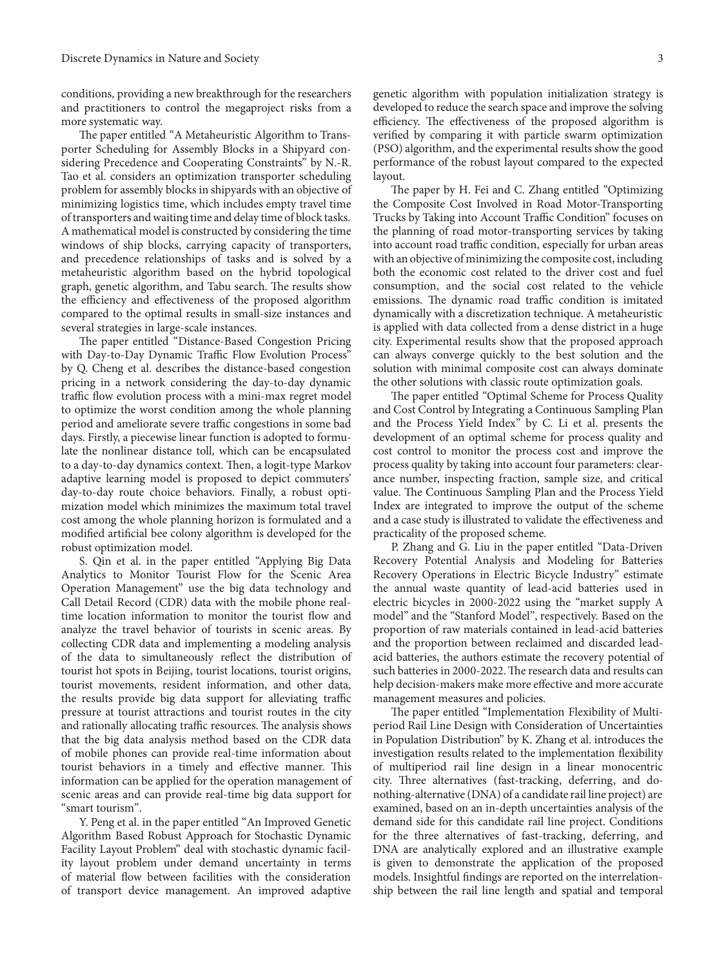conditions, providing a new breakthrough for the researchers and practitioners to control the megaproject risks from a more systematic way.

The paper entitled "A Metaheuristic Algorithm to Transporter Scheduling for Assembly Blocks in a Shipyard considering Precedence and Cooperating Constraints" by N.-R. Tao et al. considers an optimization transporter scheduling problem for assembly blocks in shipyards with an objective of minimizing logistics time, which includes empty travel time of transporters and waiting time and delay time of block tasks. A mathematical model is constructed by considering the time windows of ship blocks, carrying capacity of transporters, and precedence relationships of tasks and is solved by a metaheuristic algorithm based on the hybrid topological graph, genetic algorithm, and Tabu search. The results show the efficiency and effectiveness of the proposed algorithm compared to the optimal results in small-size instances and several strategies in large-scale instances.

The paper entitled "Distance-Based Congestion Pricing with Day-to-Day Dynamic Traffic Flow Evolution Process" by Q. Cheng et al. describes the distance-based congestion pricing in a network considering the day-to-day dynamic traffic flow evolution process with a mini-max regret model to optimize the worst condition among the whole planning period and ameliorate severe traffic congestions in some bad days. Firstly, a piecewise linear function is adopted to formulate the nonlinear distance toll, which can be encapsulated to a day-to-day dynamics context. Then, a logit-type Markov adaptive learning model is proposed to depict commuters' day-to-day route choice behaviors. Finally, a robust optimization model which minimizes the maximum total travel cost among the whole planning horizon is formulated and a modified artificial bee colony algorithm is developed for the robust optimization model.

S. Qin et al. in the paper entitled "Applying Big Data Analytics to Monitor Tourist Flow for the Scenic Area Operation Management" use the big data technology and Call Detail Record (CDR) data with the mobile phone realtime location information to monitor the tourist flow and analyze the travel behavior of tourists in scenic areas. By collecting CDR data and implementing a modeling analysis of the data to simultaneously reflect the distribution of tourist hot spots in Beijing, tourist locations, tourist origins, tourist movements, resident information, and other data, the results provide big data support for alleviating traffic pressure at tourist attractions and tourist routes in the city and rationally allocating traffic resources. The analysis shows that the big data analysis method based on the CDR data of mobile phones can provide real-time information about tourist behaviors in a timely and effective manner. This information can be applied for the operation management of scenic areas and can provide real-time big data support for "smart tourism".

Y. Peng et al. in the paper entitled "An Improved Genetic Algorithm Based Robust Approach for Stochastic Dynamic Facility Layout Problem" deal with stochastic dynamic facility layout problem under demand uncertainty in terms of material flow between facilities with the consideration of transport device management. An improved adaptive genetic algorithm with population initialization strategy is developed to reduce the search space and improve the solving efficiency. The effectiveness of the proposed algorithm is verified by comparing it with particle swarm optimization (PSO) algorithm, and the experimental results show the good performance of the robust layout compared to the expected layout.

The paper by H. Fei and C. Zhang entitled "Optimizing the Composite Cost Involved in Road Motor-Transporting Trucks by Taking into Account Traffic Condition" focuses on the planning of road motor-transporting services by taking into account road traffic condition, especially for urban areas with an objective of minimizing the composite cost, including both the economic cost related to the driver cost and fuel consumption, and the social cost related to the vehicle emissions. The dynamic road traffic condition is imitated dynamically with a discretization technique. A metaheuristic is applied with data collected from a dense district in a huge city. Experimental results show that the proposed approach can always converge quickly to the best solution and the solution with minimal composite cost can always dominate the other solutions with classic route optimization goals.

The paper entitled "Optimal Scheme for Process Quality" and Cost Control by Integrating a Continuous Sampling Plan and the Process Yield Index" by C. Li et al. presents the development of an optimal scheme for process quality and cost control to monitor the process cost and improve the process quality by taking into account four parameters: clearance number, inspecting fraction, sample size, and critical value. The Continuous Sampling Plan and the Process Yield Index are integrated to improve the output of the scheme and a case study is illustrated to validate the effectiveness and practicality of the proposed scheme.

P. Zhang and G. Liu in the paper entitled "Data-Driven Recovery Potential Analysis and Modeling for Batteries Recovery Operations in Electric Bicycle Industry" estimate the annual waste quantity of lead-acid batteries used in electric bicycles in 2000-2022 using the "market supply A model" and the "Stanford Model", respectively. Based on the proportion of raw materials contained in lead-acid batteries and the proportion between reclaimed and discarded leadacid batteries, the authors estimate the recovery potential of such batteries in 2000-2022. The research data and results can help decision-makers make more effective and more accurate management measures and policies.

The paper entitled "Implementation Flexibility of Multiperiod Rail Line Design with Consideration of Uncertainties in Population Distribution" by K. Zhang et al. introduces the investigation results related to the implementation flexibility of multiperiod rail line design in a linear monocentric city. Three alternatives (fast-tracking, deferring, and donothing-alternative (DNA) of a candidate rail line project) are examined, based on an in-depth uncertainties analysis of the demand side for this candidate rail line project. Conditions for the three alternatives of fast-tracking, deferring, and DNA are analytically explored and an illustrative example is given to demonstrate the application of the proposed models. Insightful findings are reported on the interrelationship between the rail line length and spatial and temporal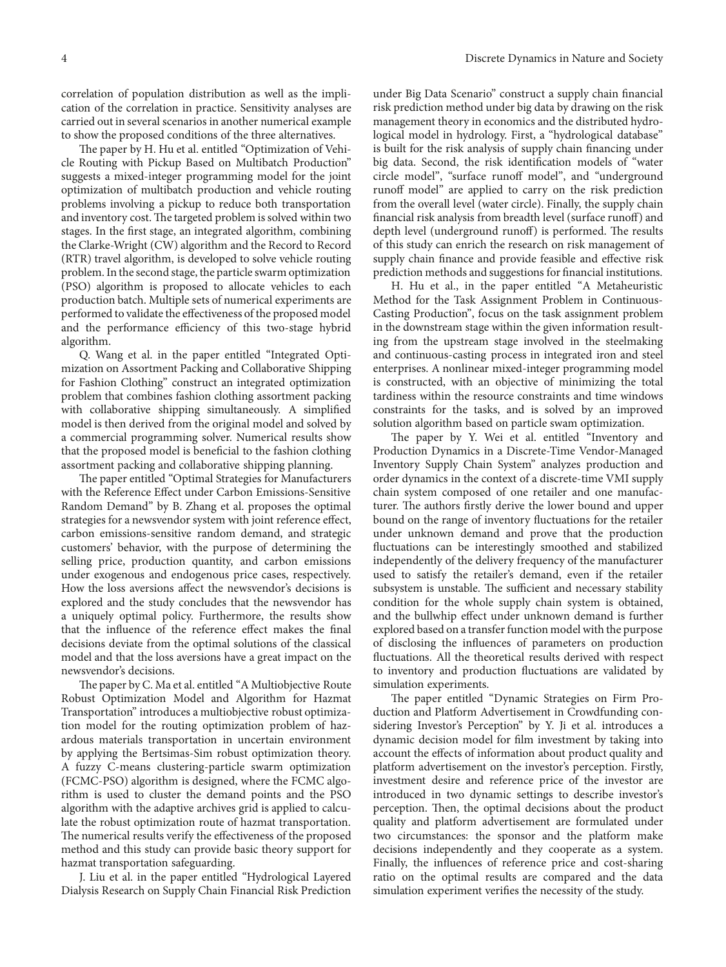correlation of population distribution as well as the implication of the correlation in practice. Sensitivity analyses are carried out in several scenarios in another numerical example to show the proposed conditions of the three alternatives.

The paper by H. Hu et al. entitled "Optimization of Vehicle Routing with Pickup Based on Multibatch Production" suggests a mixed-integer programming model for the joint optimization of multibatch production and vehicle routing problems involving a pickup to reduce both transportation and inventory cost. The targeted problem is solved within two stages. In the first stage, an integrated algorithm, combining the Clarke-Wright (CW) algorithm and the Record to Record (RTR) travel algorithm, is developed to solve vehicle routing problem. In the second stage, the particle swarm optimization (PSO) algorithm is proposed to allocate vehicles to each production batch. Multiple sets of numerical experiments are performed to validate the effectiveness of the proposed model and the performance efficiency of this two-stage hybrid algorithm.

Q. Wang et al. in the paper entitled "Integrated Optimization on Assortment Packing and Collaborative Shipping for Fashion Clothing" construct an integrated optimization problem that combines fashion clothing assortment packing with collaborative shipping simultaneously. A simplified model is then derived from the original model and solved by a commercial programming solver. Numerical results show that the proposed model is beneficial to the fashion clothing assortment packing and collaborative shipping planning.

The paper entitled "Optimal Strategies for Manufacturers" with the Reference Effect under Carbon Emissions-Sensitive Random Demand" by B. Zhang et al. proposes the optimal strategies for a newsvendor system with joint reference effect, carbon emissions-sensitive random demand, and strategic customers' behavior, with the purpose of determining the selling price, production quantity, and carbon emissions under exogenous and endogenous price cases, respectively. How the loss aversions affect the newsvendor's decisions is explored and the study concludes that the newsvendor has a uniquely optimal policy. Furthermore, the results show that the influence of the reference effect makes the final decisions deviate from the optimal solutions of the classical model and that the loss aversions have a great impact on the newsvendor's decisions.

The paper by C. Ma et al. entitled "A Multiobjective Route Robust Optimization Model and Algorithm for Hazmat Transportation" introduces a multiobjective robust optimization model for the routing optimization problem of hazardous materials transportation in uncertain environment by applying the Bertsimas-Sim robust optimization theory. A fuzzy C-means clustering-particle swarm optimization (FCMC-PSO) algorithm is designed, where the FCMC algorithm is used to cluster the demand points and the PSO algorithm with the adaptive archives grid is applied to calculate the robust optimization route of hazmat transportation. The numerical results verify the effectiveness of the proposed method and this study can provide basic theory support for hazmat transportation safeguarding.

J. Liu et al. in the paper entitled "Hydrological Layered Dialysis Research on Supply Chain Financial Risk Prediction under Big Data Scenario" construct a supply chain financial risk prediction method under big data by drawing on the risk management theory in economics and the distributed hydrological model in hydrology. First, a "hydrological database" is built for the risk analysis of supply chain financing under big data. Second, the risk identification models of "water circle model", "surface runoff model", and "underground runoff model" are applied to carry on the risk prediction from the overall level (water circle). Finally, the supply chain financial risk analysis from breadth level (surface runoff) and depth level (underground runoff) is performed. The results of this study can enrich the research on risk management of supply chain finance and provide feasible and effective risk prediction methods and suggestions for financial institutions.

H. Hu et al., in the paper entitled "A Metaheuristic Method for the Task Assignment Problem in Continuous-Casting Production", focus on the task assignment problem in the downstream stage within the given information resulting from the upstream stage involved in the steelmaking and continuous-casting process in integrated iron and steel enterprises. A nonlinear mixed-integer programming model is constructed, with an objective of minimizing the total tardiness within the resource constraints and time windows constraints for the tasks, and is solved by an improved solution algorithm based on particle swam optimization.

The paper by Y. Wei et al. entitled "Inventory and Production Dynamics in a Discrete-Time Vendor-Managed Inventory Supply Chain System" analyzes production and order dynamics in the context of a discrete-time VMI supply chain system composed of one retailer and one manufacturer. The authors firstly derive the lower bound and upper bound on the range of inventory fluctuations for the retailer under unknown demand and prove that the production fluctuations can be interestingly smoothed and stabilized independently of the delivery frequency of the manufacturer used to satisfy the retailer's demand, even if the retailer subsystem is unstable. The sufficient and necessary stability condition for the whole supply chain system is obtained, and the bullwhip effect under unknown demand is further explored based on a transfer function model with the purpose of disclosing the influences of parameters on production fluctuations. All the theoretical results derived with respect to inventory and production fluctuations are validated by simulation experiments.

The paper entitled "Dynamic Strategies on Firm Production and Platform Advertisement in Crowdfunding considering Investor's Perception" by Y. Ji et al. introduces a dynamic decision model for film investment by taking into account the effects of information about product quality and platform advertisement on the investor's perception. Firstly, investment desire and reference price of the investor are introduced in two dynamic settings to describe investor's perception. Then, the optimal decisions about the product quality and platform advertisement are formulated under two circumstances: the sponsor and the platform make decisions independently and they cooperate as a system. Finally, the influences of reference price and cost-sharing ratio on the optimal results are compared and the data simulation experiment verifies the necessity of the study.